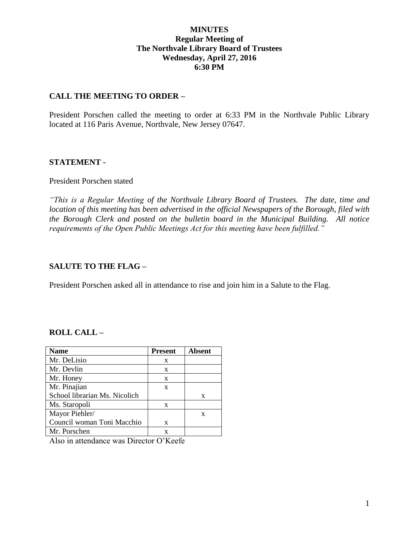# **MINUTES Regular Meeting of The Northvale Library Board of Trustees Wednesday, April 27, 2016 6:30 PM**

# **CALL THE MEETING TO ORDER –**

President Porschen called the meeting to order at 6:33 PM in the Northvale Public Library located at 116 Paris Avenue, Northvale, New Jersey 07647.

## **STATEMENT -**

#### President Porschen stated

*"This is a Regular Meeting of the Northvale Library Board of Trustees. The date, time and location of this meeting has been advertised in the official Newspapers of the Borough, filed with the Borough Clerk and posted on the bulletin board in the Municipal Building. All notice requirements of the Open Public Meetings Act for this meeting have been fulfilled."* 

## **SALUTE TO THE FLAG –**

President Porschen asked all in attendance to rise and join him in a Salute to the Flag.

## **ROLL CALL –**

| <b>Name</b>                   | <b>Present</b> | <b>Absent</b> |
|-------------------------------|----------------|---------------|
| Mr. DeLisio                   | X              |               |
| Mr. Devlin                    | X              |               |
| Mr. Honey                     | X              |               |
| Mr. Pinajian                  | X              |               |
| School librarian Ms. Nicolich |                | X             |
| Ms. Staropoli                 | X              |               |
| Mayor Piehler/                |                | X             |
| Council woman Toni Macchio    | X              |               |
| Mr. Porschen                  | X              |               |

Also in attendance was Director O'Keefe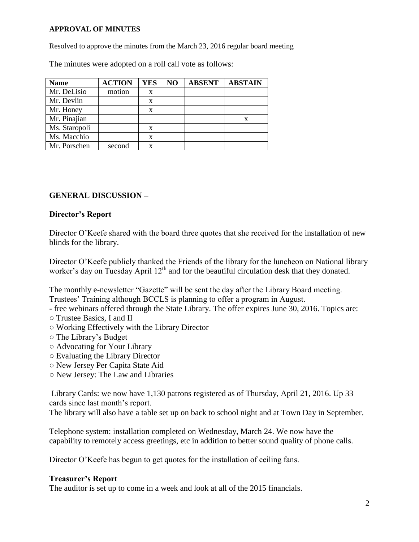#### **APPROVAL OF MINUTES**

Resolved to approve the minutes from the March 23, 2016 regular board meeting

The minutes were adopted on a roll call vote as follows:

| <b>Name</b>   | <b>ACTION</b> | <b>YES</b> | NO | <b>ABSENT</b> | <b>ABSTAIN</b> |
|---------------|---------------|------------|----|---------------|----------------|
| Mr. DeLisio   | motion        | X          |    |               |                |
| Mr. Devlin    |               | X          |    |               |                |
| Mr. Honey     |               | X          |    |               |                |
| Mr. Pinajian  |               |            |    |               | X              |
| Ms. Staropoli |               | X          |    |               |                |
| Ms. Macchio   |               | x          |    |               |                |
| Mr. Porschen  | second        |            |    |               |                |

# **GENERAL DISCUSSION –**

## **Director's Report**

Director O'Keefe shared with the board three quotes that she received for the installation of new blinds for the library.

Director O'Keefe publicly thanked the Friends of the library for the luncheon on National library worker's day on Tuesday April 12<sup>th</sup> and for the beautiful circulation desk that they donated.

The monthly e-newsletter "Gazette" will be sent the day after the Library Board meeting. Trustees' Training although BCCLS is planning to offer a program in August.

- free webinars offered through the State Library. The offer expires June 30, 2016. Topics are:
- Trustee Basics, I and II
- Working Effectively with the Library Director
- The Library's Budget
- Advocating for Your Library
- Evaluating the Library Director
- New Jersey Per Capita State Aid
- New Jersey: The Law and Libraries

Library Cards: we now have 1,130 patrons registered as of Thursday, April 21, 2016. Up 33 cards since last month's report.

The library will also have a table set up on back to school night and at Town Day in September.

Telephone system: installation completed on Wednesday, March 24. We now have the capability to remotely access greetings, etc in addition to better sound quality of phone calls.

Director O'Keefe has begun to get quotes for the installation of ceiling fans.

#### **Treasurer's Report**

The auditor is set up to come in a week and look at all of the 2015 financials.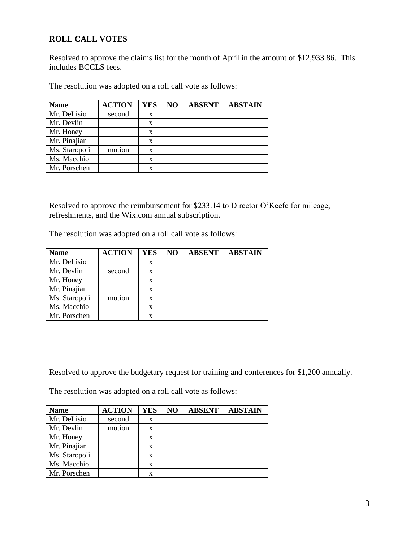# **ROLL CALL VOTES**

Resolved to approve the claims list for the month of April in the amount of \$12,933.86. This includes BCCLS fees.

The resolution was adopted on a roll call vote as follows:

| <b>Name</b>   | <b>ACTION</b> | <b>YES</b> | NO | <b>ABSENT</b> | <b>ABSTAIN</b> |
|---------------|---------------|------------|----|---------------|----------------|
| Mr. DeLisio   | second        | X          |    |               |                |
| Mr. Devlin    |               | X          |    |               |                |
| Mr. Honey     |               | X          |    |               |                |
| Mr. Pinajian  |               | X          |    |               |                |
| Ms. Staropoli | motion        | X          |    |               |                |
| Ms. Macchio   |               | X          |    |               |                |
| Mr. Porschen  |               |            |    |               |                |

Resolved to approve the reimbursement for \$233.14 to Director O'Keefe for mileage, refreshments, and the Wix.com annual subscription.

The resolution was adopted on a roll call vote as follows:

| <b>Name</b>   | <b>ACTION</b> | <b>YES</b> | NO | <b>ABSENT</b> | <b>ABSTAIN</b> |
|---------------|---------------|------------|----|---------------|----------------|
| Mr. DeLisio   |               | X          |    |               |                |
| Mr. Devlin    | second        | X          |    |               |                |
| Mr. Honey     |               | X          |    |               |                |
| Mr. Pinajian  |               | X          |    |               |                |
| Ms. Staropoli | motion        | X          |    |               |                |
| Ms. Macchio   |               | x          |    |               |                |
| Mr. Porschen  |               |            |    |               |                |

Resolved to approve the budgetary request for training and conferences for \$1,200 annually.

The resolution was adopted on a roll call vote as follows:

| <b>Name</b>   | <b>ACTION</b> | <b>YES</b> | NO | <b>ABSENT</b> | <b>ABSTAIN</b> |
|---------------|---------------|------------|----|---------------|----------------|
| Mr. DeLisio   | second        | X          |    |               |                |
| Mr. Devlin    | motion        | X          |    |               |                |
| Mr. Honey     |               | X          |    |               |                |
| Mr. Pinajian  |               | X          |    |               |                |
| Ms. Staropoli |               | x          |    |               |                |
| Ms. Macchio   |               | X          |    |               |                |
| Mr. Porschen  |               | x          |    |               |                |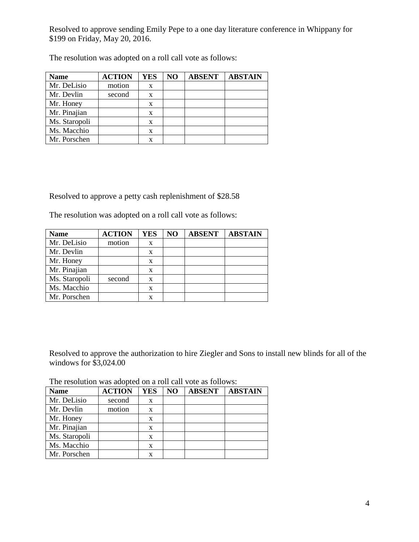Resolved to approve sending Emily Pepe to a one day literature conference in Whippany for \$199 on Friday, May 20, 2016.

| <b>Name</b>   | <b>ACTION</b> | <b>YES</b> | NO | <b>ABSENT</b> | <b>ABSTAIN</b> |
|---------------|---------------|------------|----|---------------|----------------|
| Mr. DeLisio   | motion        | X          |    |               |                |
| Mr. Devlin    | second        | X          |    |               |                |
| Mr. Honey     |               | X          |    |               |                |
| Mr. Pinajian  |               | X          |    |               |                |
| Ms. Staropoli |               | X          |    |               |                |
| Ms. Macchio   |               | X          |    |               |                |
| Mr. Porschen  |               |            |    |               |                |

The resolution was adopted on a roll call vote as follows:

Resolved to approve a petty cash replenishment of \$28.58

The resolution was adopted on a roll call vote as follows:

| <b>Name</b>   | <b>ACTION</b> | <b>YES</b> | NO | <b>ABSENT</b> | <b>ABSTAIN</b> |
|---------------|---------------|------------|----|---------------|----------------|
| Mr. DeLisio   | motion        | X          |    |               |                |
| Mr. Devlin    |               | X          |    |               |                |
| Mr. Honey     |               | X          |    |               |                |
| Mr. Pinajian  |               | X          |    |               |                |
| Ms. Staropoli | second        | X          |    |               |                |
| Ms. Macchio   |               | X          |    |               |                |
| Mr. Porschen  |               |            |    |               |                |

Resolved to approve the authorization to hire Ziegler and Sons to install new blinds for all of the windows for \$3,024.00

| The resolution was adopted on a roll call vote as follows: |  |  |  |  |
|------------------------------------------------------------|--|--|--|--|
|------------------------------------------------------------|--|--|--|--|

| <b>Name</b>   | <b>ACTION</b> | <b>YES</b> | NO | <b>ABSENT</b> | <b>ABSTAIN</b> |
|---------------|---------------|------------|----|---------------|----------------|
| Mr. DeLisio   | second        | X          |    |               |                |
| Mr. Devlin    | motion        | X          |    |               |                |
| Mr. Honey     |               | X          |    |               |                |
| Mr. Pinajian  |               | X          |    |               |                |
| Ms. Staropoli |               | X          |    |               |                |
| Ms. Macchio   |               | X          |    |               |                |
| Mr. Porschen  |               | x          |    |               |                |